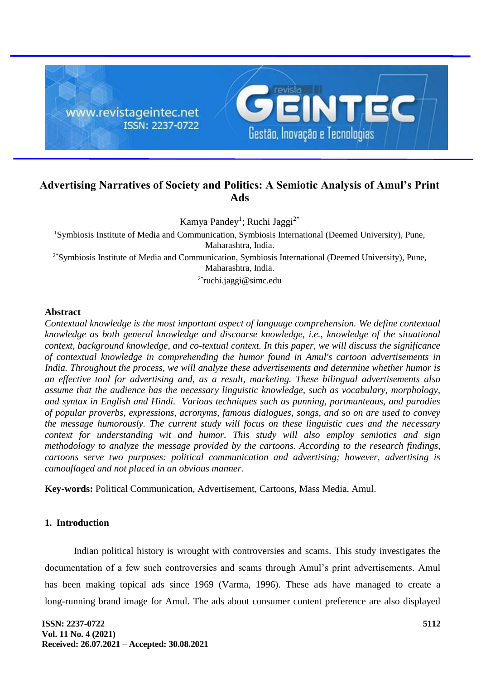

# **Advertising Narratives of Society and Politics: A Semiotic Analysis of Amul's Print Ads**

Kamya Pandey<sup>1</sup>; Ruchi Jaggi<sup>2\*</sup>

<sup>1</sup>Symbiosis Institute of Media and Communication, Symbiosis International (Deemed University), Pune, Maharashtra, India. 2\*Symbiosis Institute of Media and Communication, Symbiosis International (Deemed University), Pune,

Maharashtra, India.

 $2*$ ruchi.jaggi@simc.edu

### **Abstract**

*Contextual knowledge is the most important aspect of language comprehension. We define contextual knowledge as both general knowledge and discourse knowledge, i.e., knowledge of the situational context, background knowledge, and co-textual context. In this paper, we will discuss the significance of contextual knowledge in comprehending the humor found in Amul's cartoon advertisements in India. Throughout the process, we will analyze these advertisements and determine whether humor is an effective tool for advertising and, as a result, marketing. These bilingual advertisements also assume that the audience has the necessary linguistic knowledge, such as vocabulary, morphology, and syntax in English and Hindi. Various techniques such as punning, portmanteaus, and parodies of popular proverbs, expressions, acronyms, famous dialogues, songs, and so on are used to convey the message humorously. The current study will focus on these linguistic cues and the necessary context for understanding wit and humor. This study will also employ semiotics and sign methodology to analyze the message provided by the cartoons. According to the research findings, cartoons serve two purposes: political communication and advertising; however, advertising is camouflaged and not placed in an obvious manner.*

**Key-words:** Political Communication, Advertisement, Cartoons, Mass Media, Amul.

## **1. Introduction**

Indian political history is wrought with controversies and scams. This study investigates the documentation of a few such controversies and scams through Amul's print advertisements. Amul has been making topical ads since 1969 (Varma, 1996). These ads have managed to create a long-running brand image for Amul. The ads about consumer content preference are also displayed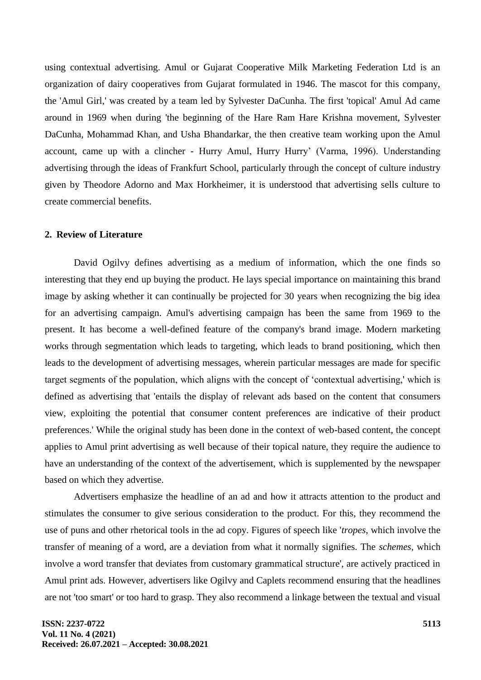using contextual advertising. Amul or Gujarat Cooperative Milk Marketing Federation Ltd is an organization of dairy cooperatives from Gujarat formulated in 1946. The mascot for this company, the 'Amul Girl,' was created by a team led by Sylvester DaCunha. The first 'topical' Amul Ad came around in 1969 when during 'the beginning of the Hare Ram Hare Krishna movement, Sylvester DaCunha, Mohammad Khan, and Usha Bhandarkar, the then creative team working upon the Amul account, came up with a clincher - Hurry Amul, Hurry Hurry' (Varma, 1996). Understanding advertising through the ideas of Frankfurt School, particularly through the concept of culture industry given by Theodore Adorno and Max Horkheimer, it is understood that advertising sells culture to create commercial benefits.

## **2. Review of Literature**

David Ogilvy defines advertising as a medium of information, which the one finds so interesting that they end up buying the product. He lays special importance on maintaining this brand image by asking whether it can continually be projected for 30 years when recognizing the big idea for an advertising campaign. Amul's advertising campaign has been the same from 1969 to the present. It has become a well-defined feature of the company's brand image. Modern marketing works through segmentation which leads to targeting, which leads to brand positioning, which then leads to the development of advertising messages, wherein particular messages are made for specific target segments of the population, which aligns with the concept of 'contextual advertising,' which is defined as advertising that 'entails the display of relevant ads based on the content that consumers view, exploiting the potential that consumer content preferences are indicative of their product preferences.' While the original study has been done in the context of web-based content, the concept applies to Amul print advertising as well because of their topical nature, they require the audience to have an understanding of the context of the advertisement, which is supplemented by the newspaper based on which they advertise.

Advertisers emphasize the headline of an ad and how it attracts attention to the product and stimulates the consumer to give serious consideration to the product. For this, they recommend the use of puns and other rhetorical tools in the ad copy. Figures of speech like '*tropes*, which involve the transfer of meaning of a word, are a deviation from what it normally signifies. The *schemes*, which involve a word transfer that deviates from customary grammatical structure', are actively practiced in Amul print ads. However, advertisers like Ogilvy and Caplets recommend ensuring that the headlines are not 'too smart' or too hard to grasp. They also recommend a linkage between the textual and visual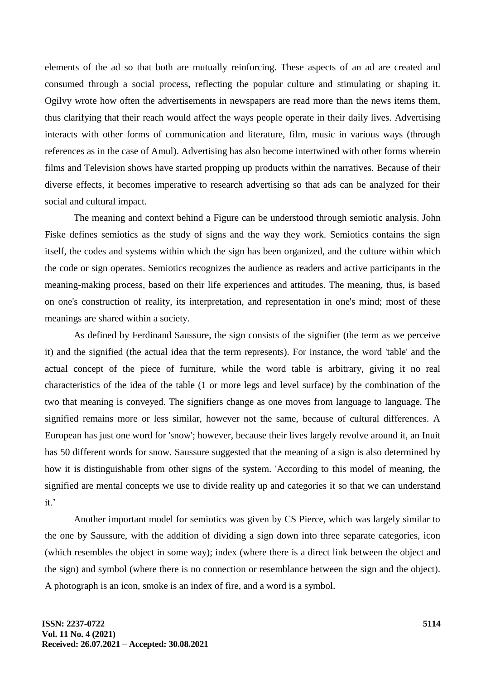elements of the ad so that both are mutually reinforcing. These aspects of an ad are created and consumed through a social process, reflecting the popular culture and stimulating or shaping it. Ogilvy wrote how often the advertisements in newspapers are read more than the news items them, thus clarifying that their reach would affect the ways people operate in their daily lives. Advertising interacts with other forms of communication and literature, film, music in various ways (through references as in the case of Amul). Advertising has also become intertwined with other forms wherein films and Television shows have started propping up products within the narratives. Because of their diverse effects, it becomes imperative to research advertising so that ads can be analyzed for their social and cultural impact.

The meaning and context behind a Figure can be understood through semiotic analysis. John Fiske defines semiotics as the study of signs and the way they work. Semiotics contains the sign itself, the codes and systems within which the sign has been organized, and the culture within which the code or sign operates. Semiotics recognizes the audience as readers and active participants in the meaning-making process, based on their life experiences and attitudes. The meaning, thus, is based on one's construction of reality, its interpretation, and representation in one's mind; most of these meanings are shared within a society.

As defined by Ferdinand Saussure, the sign consists of the signifier (the term as we perceive it) and the signified (the actual idea that the term represents). For instance, the word 'table' and the actual concept of the piece of furniture, while the word table is arbitrary, giving it no real characteristics of the idea of the table (1 or more legs and level surface) by the combination of the two that meaning is conveyed. The signifiers change as one moves from language to language. The signified remains more or less similar, however not the same, because of cultural differences. A European has just one word for 'snow'; however, because their lives largely revolve around it, an Inuit has 50 different words for snow. Saussure suggested that the meaning of a sign is also determined by how it is distinguishable from other signs of the system. 'According to this model of meaning, the signified are mental concepts we use to divide reality up and categories it so that we can understand it.'

Another important model for semiotics was given by CS Pierce, which was largely similar to the one by Saussure, with the addition of dividing a sign down into three separate categories, icon (which resembles the object in some way); index (where there is a direct link between the object and the sign) and symbol (where there is no connection or resemblance between the sign and the object). A photograph is an icon, smoke is an index of fire, and a word is a symbol.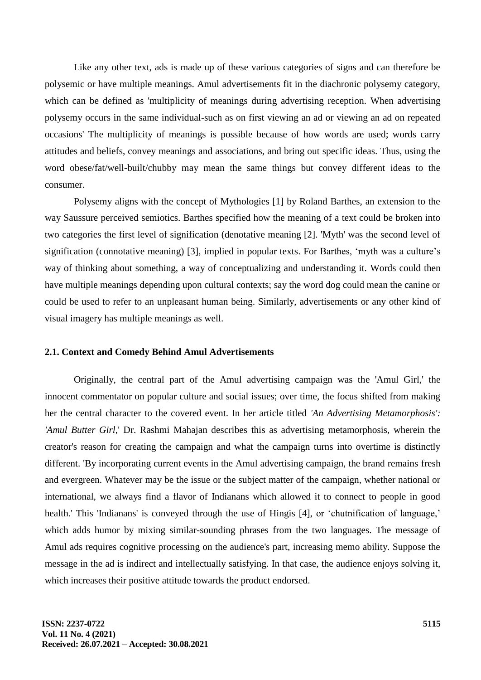Like any other text, ads is made up of these various categories of signs and can therefore be polysemic or have multiple meanings. Amul advertisements fit in the diachronic polysemy category, which can be defined as 'multiplicity of meanings during advertising reception. When advertising polysemy occurs in the same individual-such as on first viewing an ad or viewing an ad on repeated occasions' The multiplicity of meanings is possible because of how words are used; words carry attitudes and beliefs, convey meanings and associations, and bring out specific ideas. Thus, using the word obese/fat/well-built/chubby may mean the same things but convey different ideas to the consumer.

Polysemy aligns with the concept of Mythologies [1] by Roland Barthes, an extension to the way Saussure perceived semiotics. Barthes specified how the meaning of a text could be broken into two categories the first level of signification (denotative meaning [2]. 'Myth' was the second level of signification (connotative meaning) [3], implied in popular texts. For Barthes, 'myth was a culture's way of thinking about something, a way of conceptualizing and understanding it. Words could then have multiple meanings depending upon cultural contexts; say the word dog could mean the canine or could be used to refer to an unpleasant human being. Similarly, advertisements or any other kind of visual imagery has multiple meanings as well.

#### **2.1. Context and Comedy Behind Amul Advertisements**

Originally, the central part of the Amul advertising campaign was the 'Amul Girl,' the innocent commentator on popular culture and social issues; over time, the focus shifted from making her the central character to the covered event. In her article titled *'An Advertising Metamorphosis': 'Amul Butter Girl*,' Dr. Rashmi Mahajan describes this as advertising metamorphosis, wherein the creator's reason for creating the campaign and what the campaign turns into overtime is distinctly different. 'By incorporating current events in the Amul advertising campaign, the brand remains fresh and evergreen. Whatever may be the issue or the subject matter of the campaign, whether national or international, we always find a flavor of Indianans which allowed it to connect to people in good health.' This 'Indianans' is conveyed through the use of Hingis [4], or 'chutnification of language,' which adds humor by mixing similar-sounding phrases from the two languages. The message of Amul ads requires cognitive processing on the audience's part, increasing memo ability. Suppose the message in the ad is indirect and intellectually satisfying. In that case, the audience enjoys solving it, which increases their positive attitude towards the product endorsed.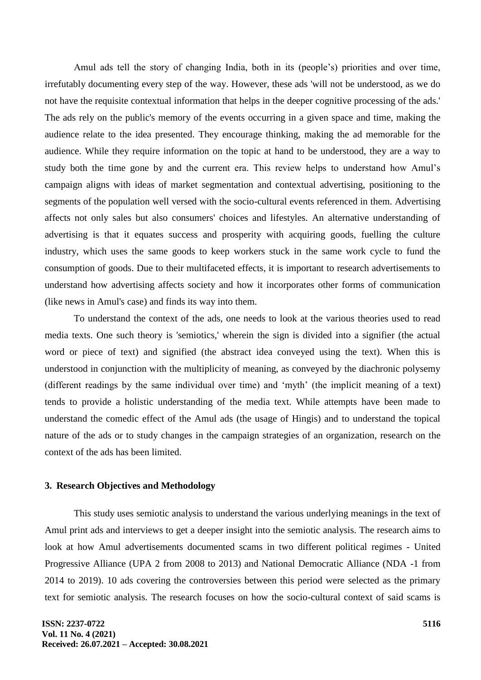Amul ads tell the story of changing India, both in its (people's) priorities and over time, irrefutably documenting every step of the way. However, these ads 'will not be understood, as we do not have the requisite contextual information that helps in the deeper cognitive processing of the ads.' The ads rely on the public's memory of the events occurring in a given space and time, making the audience relate to the idea presented. They encourage thinking, making the ad memorable for the audience. While they require information on the topic at hand to be understood, they are a way to study both the time gone by and the current era. This review helps to understand how Amul's campaign aligns with ideas of market segmentation and contextual advertising, positioning to the segments of the population well versed with the socio-cultural events referenced in them. Advertising affects not only sales but also consumers' choices and lifestyles. An alternative understanding of advertising is that it equates success and prosperity with acquiring goods, fuelling the culture industry, which uses the same goods to keep workers stuck in the same work cycle to fund the consumption of goods. Due to their multifaceted effects, it is important to research advertisements to understand how advertising affects society and how it incorporates other forms of communication (like news in Amul's case) and finds its way into them.

To understand the context of the ads, one needs to look at the various theories used to read media texts. One such theory is 'semiotics,' wherein the sign is divided into a signifier (the actual word or piece of text) and signified (the abstract idea conveyed using the text). When this is understood in conjunction with the multiplicity of meaning, as conveyed by the diachronic polysemy (different readings by the same individual over time) and 'myth' (the implicit meaning of a text) tends to provide a holistic understanding of the media text. While attempts have been made to understand the comedic effect of the Amul ads (the usage of Hingis) and to understand the topical nature of the ads or to study changes in the campaign strategies of an organization, research on the context of the ads has been limited.

### **3. Research Objectives and Methodology**

This study uses semiotic analysis to understand the various underlying meanings in the text of Amul print ads and interviews to get a deeper insight into the semiotic analysis. The research aims to look at how Amul advertisements documented scams in two different political regimes - United Progressive Alliance (UPA 2 from 2008 to 2013) and National Democratic Alliance (NDA -1 from 2014 to 2019). 10 ads covering the controversies between this period were selected as the primary text for semiotic analysis. The research focuses on how the socio-cultural context of said scams is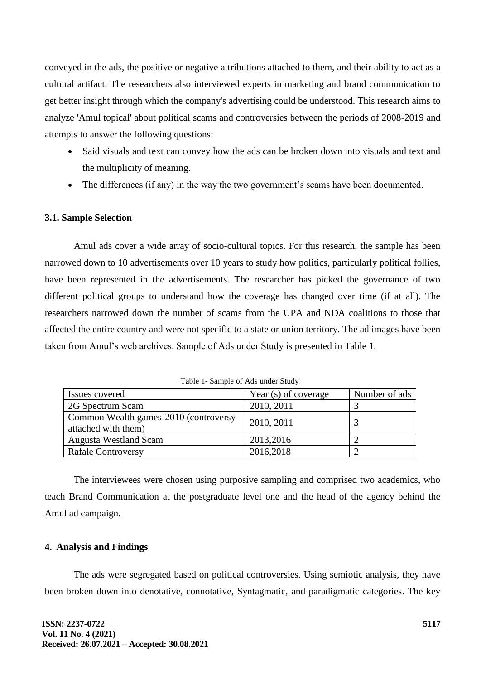conveyed in the ads, the positive or negative attributions attached to them, and their ability to act as a cultural artifact. The researchers also interviewed experts in marketing and brand communication to get better insight through which the company's advertising could be understood. This research aims to analyze 'Amul topical' about political scams and controversies between the periods of 2008-2019 and attempts to answer the following questions:

- Said visuals and text can convey how the ads can be broken down into visuals and text and the multiplicity of meaning.
- The differences (if any) in the way the two government's scams have been documented.

## **3.1. Sample Selection**

Amul ads cover a wide array of socio-cultural topics. For this research, the sample has been narrowed down to 10 advertisements over 10 years to study how politics, particularly political follies, have been represented in the advertisements. The researcher has picked the governance of two different political groups to understand how the coverage has changed over time (if at all). The researchers narrowed down the number of scams from the UPA and NDA coalitions to those that affected the entire country and were not specific to a state or union territory. The ad images have been taken from Amul's web archives. Sample of Ads under Study is presented in Table 1.

| Issues covered                                               | Year (s) of coverage | Number of ads |
|--------------------------------------------------------------|----------------------|---------------|
| 2G Spectrum Scam                                             | 2010, 2011           |               |
| Common Wealth games-2010 (controversy<br>attached with them) | 2010, 2011           |               |
| <b>Augusta Westland Scam</b>                                 | 2013,2016            |               |
| <b>Rafale Controversy</b>                                    | 2016,2018            |               |

Table 1- Sample of Ads under Study

The interviewees were chosen using purposive sampling and comprised two academics, who teach Brand Communication at the postgraduate level one and the head of the agency behind the Amul ad campaign.

## **4. Analysis and Findings**

The ads were segregated based on political controversies. Using semiotic analysis, they have been broken down into denotative, connotative, Syntagmatic, and paradigmatic categories. The key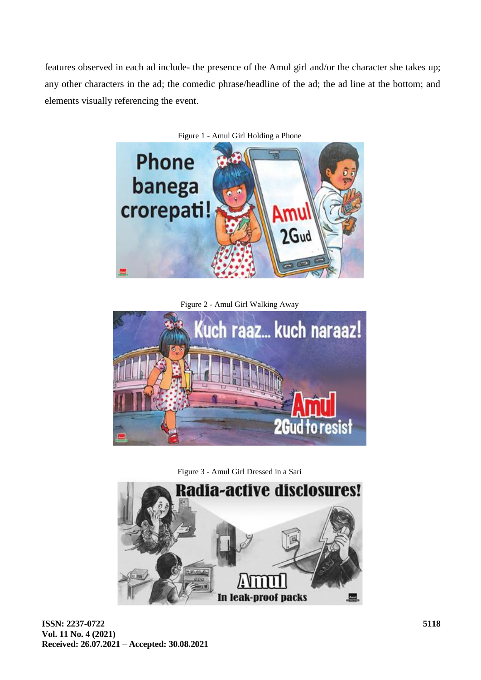features observed in each ad include- the presence of the Amul girl and/or the character she takes up; any other characters in the ad; the comedic phrase/headline of the ad; the ad line at the bottom; and elements visually referencing the event.



Figure 1 - Amul Girl Holding a Phone

Figure 2 - Amul Girl Walking Away



Figure 3 - Amul Girl Dressed in a Sari

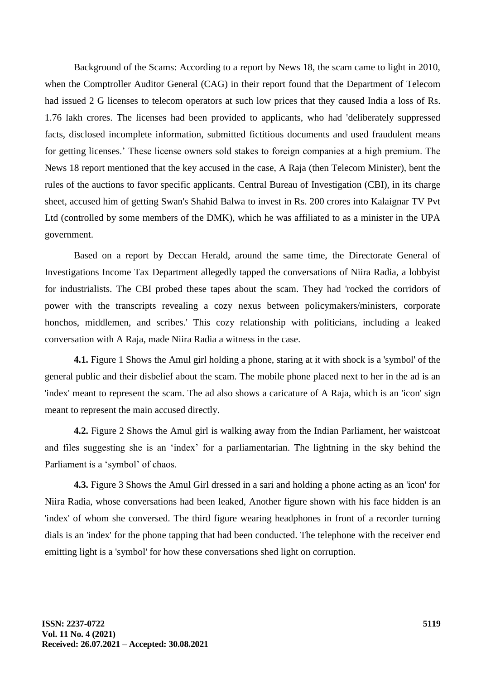Background of the Scams: According to a report by News 18, the scam came to light in 2010, when the Comptroller Auditor General (CAG) in their report found that the Department of Telecom had issued 2 G licenses to telecom operators at such low prices that they caused India a loss of Rs. 1.76 lakh crores. The licenses had been provided to applicants, who had 'deliberately suppressed facts, disclosed incomplete information, submitted fictitious documents and used fraudulent means for getting licenses.' These license owners sold stakes to foreign companies at a high premium. The News 18 report mentioned that the key accused in the case, A Raja (then Telecom Minister), bent the rules of the auctions to favor specific applicants. Central Bureau of Investigation (CBI), in its charge sheet, accused him of getting Swan's Shahid Balwa to invest in Rs. 200 crores into Kalaignar TV Pvt Ltd (controlled by some members of the DMK), which he was affiliated to as a minister in the UPA government.

Based on a report by Deccan Herald, around the same time, the Directorate General of Investigations Income Tax Department allegedly tapped the conversations of Niira Radia, a lobbyist for industrialists. The CBI probed these tapes about the scam. They had 'rocked the corridors of power with the transcripts revealing a cozy nexus between policymakers/ministers, corporate honchos, middlemen, and scribes.' This cozy relationship with politicians, including a leaked conversation with A Raja, made Niira Radia a witness in the case.

**4.1.** Figure 1 Shows the Amul girl holding a phone, staring at it with shock is a 'symbol' of the general public and their disbelief about the scam. The mobile phone placed next to her in the ad is an 'index' meant to represent the scam. The ad also shows a caricature of A Raja, which is an 'icon' sign meant to represent the main accused directly.

**4.2.** Figure 2 Shows the Amul girl is walking away from the Indian Parliament, her waistcoat and files suggesting she is an 'index' for a parliamentarian. The lightning in the sky behind the Parliament is a 'symbol' of chaos.

**4.3.** Figure 3 Shows the Amul Girl dressed in a sari and holding a phone acting as an 'icon' for Niira Radia, whose conversations had been leaked, Another figure shown with his face hidden is an 'index' of whom she conversed. The third figure wearing headphones in front of a recorder turning dials is an 'index' for the phone tapping that had been conducted. The telephone with the receiver end emitting light is a 'symbol' for how these conversations shed light on corruption.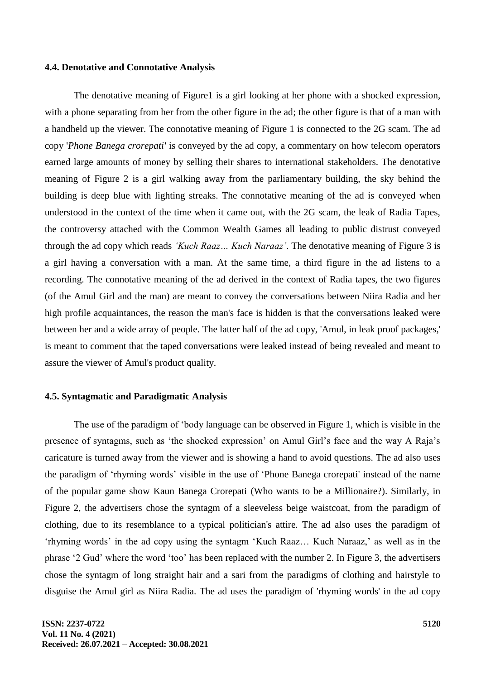#### **4.4. Denotative and Connotative Analysis**

The denotative meaning of Figure1 is a girl looking at her phone with a shocked expression, with a phone separating from her from the other figure in the ad; the other figure is that of a man with a handheld up the viewer. The connotative meaning of Figure 1 is connected to the 2G scam. The ad copy '*Phone Banega crorepati'* is conveyed by the ad copy, a commentary on how telecom operators earned large amounts of money by selling their shares to international stakeholders. The denotative meaning of Figure 2 is a girl walking away from the parliamentary building, the sky behind the building is deep blue with lighting streaks. The connotative meaning of the ad is conveyed when understood in the context of the time when it came out, with the 2G scam, the leak of Radia Tapes, the controversy attached with the Common Wealth Games all leading to public distrust conveyed through the ad copy which reads *'Kuch Raaz… Kuch Naraaz'*. The denotative meaning of Figure 3 is a girl having a conversation with a man. At the same time, a third figure in the ad listens to a recording. The connotative meaning of the ad derived in the context of Radia tapes, the two figures (of the Amul Girl and the man) are meant to convey the conversations between Niira Radia and her high profile acquaintances, the reason the man's face is hidden is that the conversations leaked were between her and a wide array of people. The latter half of the ad copy, 'Amul, in leak proof packages,' is meant to comment that the taped conversations were leaked instead of being revealed and meant to assure the viewer of Amul's product quality.

#### **4.5. Syntagmatic and Paradigmatic Analysis**

The use of the paradigm of 'body language can be observed in Figure 1, which is visible in the presence of syntagms, such as 'the shocked expression' on Amul Girl's face and the way A Raja's caricature is turned away from the viewer and is showing a hand to avoid questions. The ad also uses the paradigm of 'rhyming words' visible in the use of 'Phone Banega crorepati' instead of the name of the popular game show Kaun Banega Crorepati (Who wants to be a Millionaire?). Similarly, in Figure 2, the advertisers chose the syntagm of a sleeveless beige waistcoat, from the paradigm of clothing, due to its resemblance to a typical politician's attire. The ad also uses the paradigm of 'rhyming words' in the ad copy using the syntagm 'Kuch Raaz… Kuch Naraaz,' as well as in the phrase '2 Gud' where the word 'too' has been replaced with the number 2. In Figure 3, the advertisers chose the syntagm of long straight hair and a sari from the paradigms of clothing and hairstyle to disguise the Amul girl as Niira Radia. The ad uses the paradigm of 'rhyming words' in the ad copy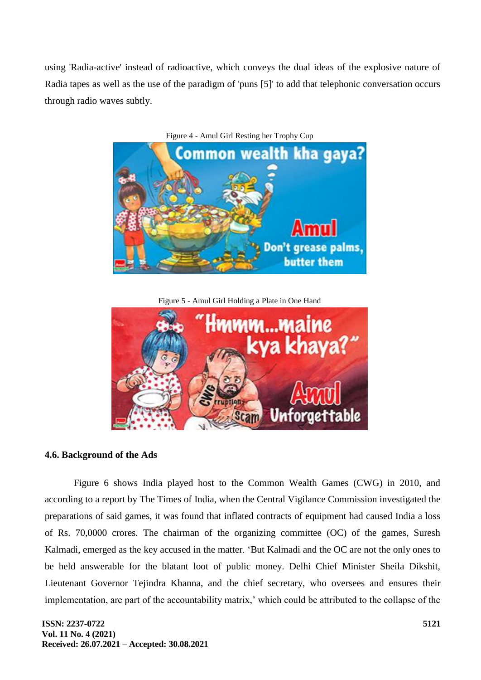using 'Radia-active' instead of radioactive, which conveys the dual ideas of the explosive nature of Radia tapes as well as the use of the paradigm of 'puns [5]' to add that telephonic conversation occurs through radio waves subtly.



Figure 4 - Amul Girl Resting her Trophy Cup

Figure 5 - Amul Girl Holding a Plate in One Hand



### **4.6. Background of the Ads**

Figure 6 shows India played host to the Common Wealth Games (CWG) in 2010, and according to a report by The Times of India, when the Central Vigilance Commission investigated the preparations of said games, it was found that inflated contracts of equipment had caused India a loss of Rs. 70,0000 crores. The chairman of the organizing committee (OC) of the games, Suresh Kalmadi, emerged as the key accused in the matter. 'But Kalmadi and the OC are not the only ones to be held answerable for the blatant loot of public money. Delhi Chief Minister Sheila Dikshit, Lieutenant Governor Tejindra Khanna, and the chief secretary, who oversees and ensures their implementation, are part of the accountability matrix,' which could be attributed to the collapse of the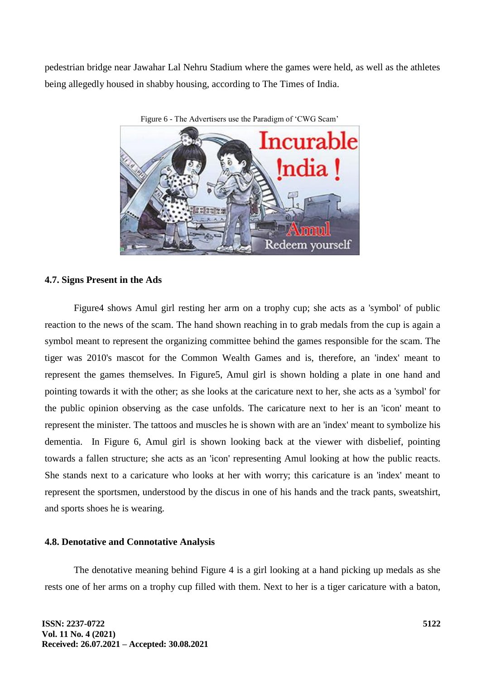pedestrian bridge near Jawahar Lal Nehru Stadium where the games were held, as well as the athletes being allegedly housed in shabby housing, according to The Times of India.



Figure 6 - The Advertisers use the Paradigm of 'CWG Scam'

#### **4.7. Signs Present in the Ads**

Figure4 shows Amul girl resting her arm on a trophy cup; she acts as a 'symbol' of public reaction to the news of the scam. The hand shown reaching in to grab medals from the cup is again a symbol meant to represent the organizing committee behind the games responsible for the scam. The tiger was 2010's mascot for the Common Wealth Games and is, therefore, an 'index' meant to represent the games themselves. In Figure5, Amul girl is shown holding a plate in one hand and pointing towards it with the other; as she looks at the caricature next to her, she acts as a 'symbol' for the public opinion observing as the case unfolds. The caricature next to her is an 'icon' meant to represent the minister. The tattoos and muscles he is shown with are an 'index' meant to symbolize his dementia. In Figure 6, Amul girl is shown looking back at the viewer with disbelief, pointing towards a fallen structure; she acts as an 'icon' representing Amul looking at how the public reacts. She stands next to a caricature who looks at her with worry; this caricature is an 'index' meant to represent the sportsmen, understood by the discus in one of his hands and the track pants, sweatshirt, and sports shoes he is wearing.

#### **4.8. Denotative and Connotative Analysis**

The denotative meaning behind Figure 4 is a girl looking at a hand picking up medals as she rests one of her arms on a trophy cup filled with them. Next to her is a tiger caricature with a baton,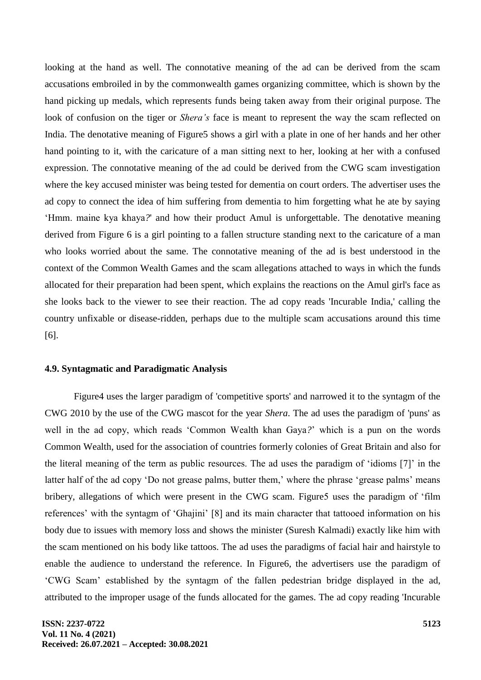looking at the hand as well. The connotative meaning of the ad can be derived from the scam accusations embroiled in by the commonwealth games organizing committee, which is shown by the hand picking up medals, which represents funds being taken away from their original purpose. The look of confusion on the tiger or *Shera's* face is meant to represent the way the scam reflected on India. The denotative meaning of Figure5 shows a girl with a plate in one of her hands and her other hand pointing to it, with the caricature of a man sitting next to her, looking at her with a confused expression. The connotative meaning of the ad could be derived from the CWG scam investigation where the key accused minister was being tested for dementia on court orders. The advertiser uses the ad copy to connect the idea of him suffering from dementia to him forgetting what he ate by saying 'Hmm. maine kya khaya*?*' and how their product Amul is unforgettable. The denotative meaning derived from Figure 6 is a girl pointing to a fallen structure standing next to the caricature of a man who looks worried about the same. The connotative meaning of the ad is best understood in the context of the Common Wealth Games and the scam allegations attached to ways in which the funds allocated for their preparation had been spent, which explains the reactions on the Amul girl's face as she looks back to the viewer to see their reaction. The ad copy reads 'Incurable India,' calling the country unfixable or disease-ridden, perhaps due to the multiple scam accusations around this time [6].

## **4.9. Syntagmatic and Paradigmatic Analysis**

Figure4 uses the larger paradigm of 'competitive sports' and narrowed it to the syntagm of the CWG 2010 by the use of the CWG mascot for the year *Shera*. The ad uses the paradigm of 'puns' as well in the ad copy, which reads 'Common Wealth khan Gaya*?*' which is a pun on the words Common Wealth, used for the association of countries formerly colonies of Great Britain and also for the literal meaning of the term as public resources. The ad uses the paradigm of 'idioms [7]' in the latter half of the ad copy 'Do not grease palms, butter them,' where the phrase 'grease palms' means bribery, allegations of which were present in the CWG scam. Figure5 uses the paradigm of 'film references' with the syntagm of 'Ghajini' [8] and its main character that tattooed information on his body due to issues with memory loss and shows the minister (Suresh Kalmadi) exactly like him with the scam mentioned on his body like tattoos. The ad uses the paradigms of facial hair and hairstyle to enable the audience to understand the reference. In Figure6, the advertisers use the paradigm of 'CWG Scam' established by the syntagm of the fallen pedestrian bridge displayed in the ad, attributed to the improper usage of the funds allocated for the games. The ad copy reading 'Incurable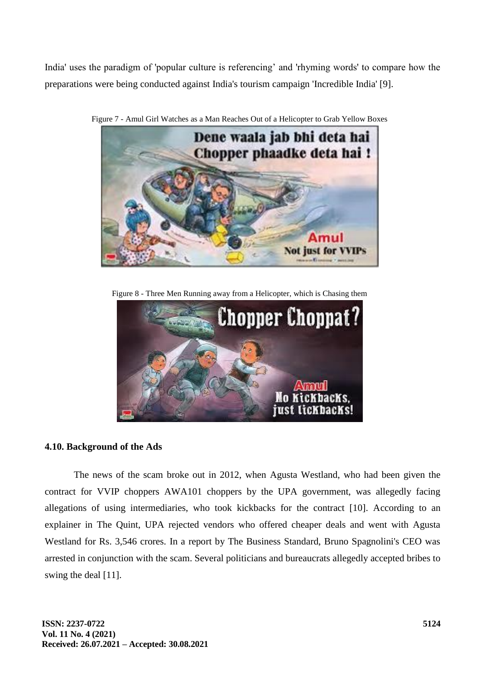India' uses the paradigm of 'popular culture is referencing' and 'rhyming words' to compare how the preparations were being conducted against India's tourism campaign 'Incredible India' [9].



Figure 7 - Amul Girl Watches as a Man Reaches Out of a Helicopter to Grab Yellow Boxes

Figure 8 - Three Men Running away from a Helicopter, which is Chasing them



## **4.10. Background of the Ads**

The news of the scam broke out in 2012, when Agusta Westland, who had been given the contract for VVIP choppers AWA101 choppers by the UPA government, was allegedly facing allegations of using intermediaries, who took kickbacks for the contract [10]. According to an explainer in The Quint, UPA rejected vendors who offered cheaper deals and went with Agusta Westland for Rs. 3,546 crores. In a report by The Business Standard, Bruno Spagnolini's CEO was arrested in conjunction with the scam. Several politicians and bureaucrats allegedly accepted bribes to swing the deal [11].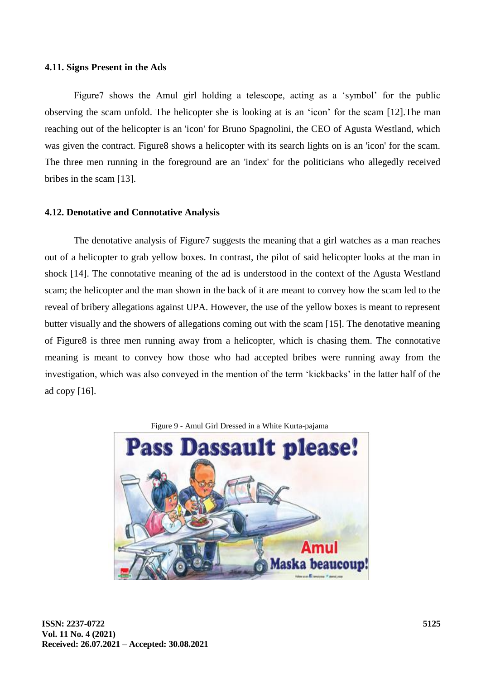#### **4.11. Signs Present in the Ads**

Figure7 shows the Amul girl holding a telescope, acting as a 'symbol' for the public observing the scam unfold. The helicopter she is looking at is an 'icon' for the scam [12].The man reaching out of the helicopter is an 'icon' for Bruno Spagnolini, the CEO of Agusta Westland, which was given the contract. Figure8 shows a helicopter with its search lights on is an 'icon' for the scam. The three men running in the foreground are an 'index' for the politicians who allegedly received bribes in the scam [13].

#### **4.12. Denotative and Connotative Analysis**

The denotative analysis of Figure7 suggests the meaning that a girl watches as a man reaches out of a helicopter to grab yellow boxes. In contrast, the pilot of said helicopter looks at the man in shock [14]. The connotative meaning of the ad is understood in the context of the Agusta Westland scam; the helicopter and the man shown in the back of it are meant to convey how the scam led to the reveal of bribery allegations against UPA. However, the use of the yellow boxes is meant to represent butter visually and the showers of allegations coming out with the scam [15]. The denotative meaning of Figure8 is three men running away from a helicopter, which is chasing them. The connotative meaning is meant to convey how those who had accepted bribes were running away from the investigation, which was also conveyed in the mention of the term 'kickbacks' in the latter half of the ad copy [16].

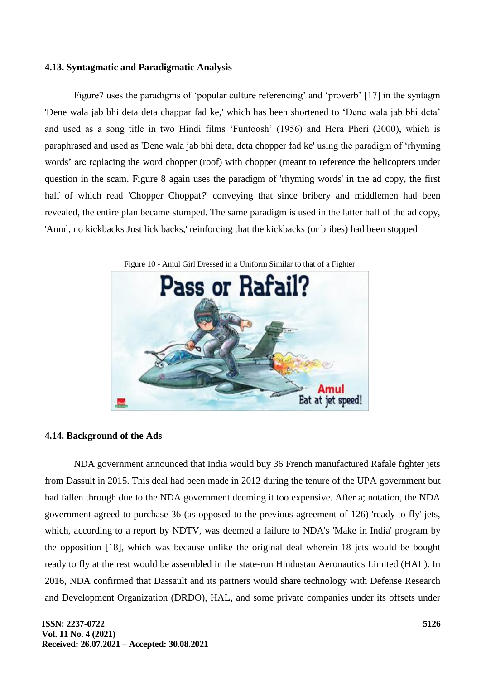### **4.13. Syntagmatic and Paradigmatic Analysis**

Figure7 uses the paradigms of 'popular culture referencing' and 'proverb' [17] in the syntagm 'Dene wala jab bhi deta deta chappar fad ke,' which has been shortened to 'Dene wala jab bhi deta' and used as a song title in two Hindi films 'Funtoosh' (1956) and Hera Pheri (2000), which is paraphrased and used as 'Dene wala jab bhi deta, deta chopper fad ke' using the paradigm of 'rhyming words' are replacing the word chopper (roof) with chopper (meant to reference the helicopters under question in the scam. Figure 8 again uses the paradigm of 'rhyming words' in the ad copy, the first half of which read 'Chopper Choppat*?*' conveying that since bribery and middlemen had been revealed, the entire plan became stumped. The same paradigm is used in the latter half of the ad copy, 'Amul, no kickbacks Just lick backs,' reinforcing that the kickbacks (or bribes) had been stopped



### Figure 10 - Amul Girl Dressed in a Uniform Similar to that of a Fighter

### **4.14. Background of the Ads**

NDA government announced that India would buy 36 French manufactured Rafale fighter jets from Dassult in 2015. This deal had been made in 2012 during the tenure of the UPA government but had fallen through due to the NDA government deeming it too expensive. After a; notation, the NDA government agreed to purchase 36 (as opposed to the previous agreement of 126) 'ready to fly' jets, which, according to a report by NDTV, was deemed a failure to NDA's 'Make in India' program by the opposition [18], which was because unlike the original deal wherein 18 jets would be bought ready to fly at the rest would be assembled in the state-run Hindustan Aeronautics Limited (HAL). In 2016, NDA confirmed that Dassault and its partners would share technology with Defense Research and Development Organization (DRDO), HAL, and some private companies under its offsets under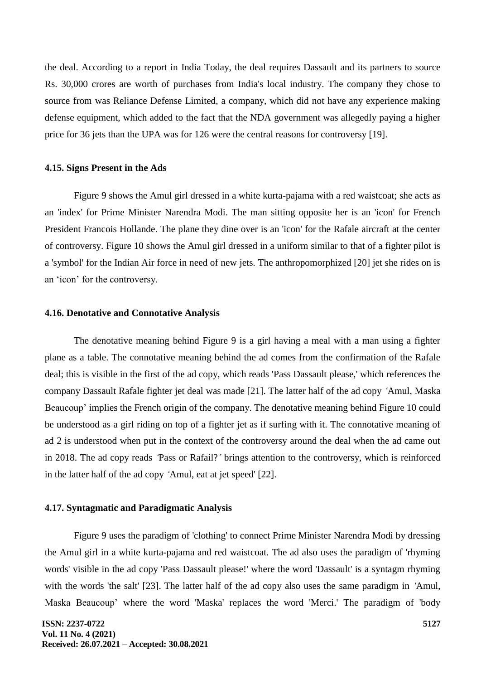the deal. According to a report in India Today, the deal requires Dassault and its partners to source Rs. 30,000 crores are worth of purchases from India's local industry. The company they chose to source from was Reliance Defense Limited, a company, which did not have any experience making defense equipment, which added to the fact that the NDA government was allegedly paying a higher price for 36 jets than the UPA was for 126 were the central reasons for controversy [19].

#### **4.15. Signs Present in the Ads**

Figure 9 shows the Amul girl dressed in a white kurta-pajama with a red waistcoat; she acts as an 'index' for Prime Minister Narendra Modi. The man sitting opposite her is an 'icon' for French President Francois Hollande. The plane they dine over is an 'icon' for the Rafale aircraft at the center of controversy. Figure 10 shows the Amul girl dressed in a uniform similar to that of a fighter pilot is a 'symbol' for the Indian Air force in need of new jets. The anthropomorphized [20] jet she rides on is an 'icon' for the controversy.

#### **4.16. Denotative and Connotative Analysis**

The denotative meaning behind Figure 9 is a girl having a meal with a man using a fighter plane as a table. The connotative meaning behind the ad comes from the confirmation of the Rafale deal; this is visible in the first of the ad copy, which reads 'Pass Dassault please,' which references the company Dassault Rafale fighter jet deal was made [21]. The latter half of the ad copy *'*Amul, Maska Beaucoup' implies the French origin of the company. The denotative meaning behind Figure 10 could be understood as a girl riding on top of a fighter jet as if surfing with it. The connotative meaning of ad 2 is understood when put in the context of the controversy around the deal when the ad came out in 2018. The ad copy reads *'*Pass or Rafail?*'* brings attention to the controversy, which is reinforced in the latter half of the ad copy *'*Amul, eat at jet speed' [22].

#### **4.17. Syntagmatic and Paradigmatic Analysis**

Figure 9 uses the paradigm of 'clothing' to connect Prime Minister Narendra Modi by dressing the Amul girl in a white kurta-pajama and red waistcoat. The ad also uses the paradigm of 'rhyming words' visible in the ad copy 'Pass Dassault please!' where the word 'Dassault' is a syntagm rhyming with the words 'the salt' [23]. The latter half of the ad copy also uses the same paradigm in 'Amul, Maska Beaucoup' where the word 'Maska' replaces the word 'Merci.' The paradigm of 'body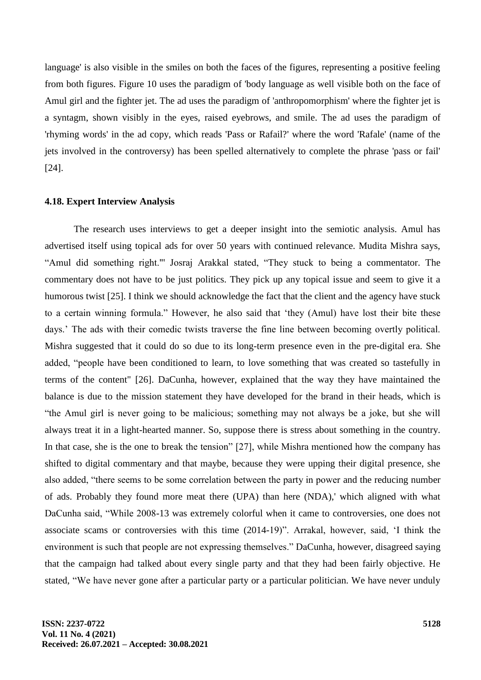language' is also visible in the smiles on both the faces of the figures, representing a positive feeling from both figures. Figure 10 uses the paradigm of 'body language as well visible both on the face of Amul girl and the fighter jet. The ad uses the paradigm of 'anthropomorphism' where the fighter jet is a syntagm, shown visibly in the eyes, raised eyebrows, and smile. The ad uses the paradigm of 'rhyming words' in the ad copy, which reads 'Pass or Rafail?' where the word 'Rafale' (name of the jets involved in the controversy) has been spelled alternatively to complete the phrase 'pass or fail' [24].

#### **4.18. Expert Interview Analysis**

The research uses interviews to get a deeper insight into the semiotic analysis. Amul has advertised itself using topical ads for over 50 years with continued relevance. Mudita Mishra says, "Amul did something right."' Josraj Arakkal stated, "They stuck to being a commentator. The commentary does not have to be just politics. They pick up any topical issue and seem to give it a humorous twist [25]. I think we should acknowledge the fact that the client and the agency have stuck to a certain winning formula." However, he also said that 'they (Amul) have lost their bite these days.' The ads with their comedic twists traverse the fine line between becoming overtly political. Mishra suggested that it could do so due to its long-term presence even in the pre-digital era. She added, "people have been conditioned to learn, to love something that was created so tastefully in terms of the content" [26]. DaCunha, however, explained that the way they have maintained the balance is due to the mission statement they have developed for the brand in their heads, which is "the Amul girl is never going to be malicious; something may not always be a joke, but she will always treat it in a light-hearted manner. So, suppose there is stress about something in the country. In that case, she is the one to break the tension" [27], while Mishra mentioned how the company has shifted to digital commentary and that maybe, because they were upping their digital presence, she also added, "there seems to be some correlation between the party in power and the reducing number of ads. Probably they found more meat there (UPA) than here (NDA),' which aligned with what DaCunha said, "While 2008-13 was extremely colorful when it came to controversies, one does not associate scams or controversies with this time (2014-19)". Arrakal, however, said, 'I think the environment is such that people are not expressing themselves." DaCunha, however, disagreed saying that the campaign had talked about every single party and that they had been fairly objective. He stated, "We have never gone after a particular party or a particular politician. We have never unduly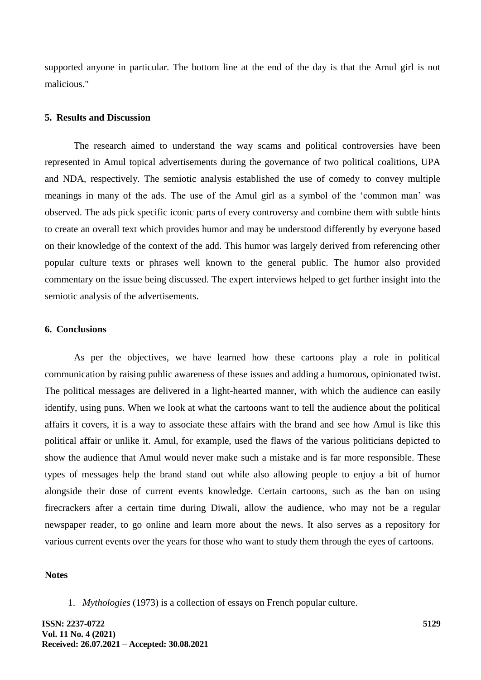supported anyone in particular. The bottom line at the end of the day is that the Amul girl is not malicious."

#### **5. Results and Discussion**

The research aimed to understand the way scams and political controversies have been represented in Amul topical advertisements during the governance of two political coalitions, UPA and NDA, respectively. The semiotic analysis established the use of comedy to convey multiple meanings in many of the ads. The use of the Amul girl as a symbol of the 'common man' was observed. The ads pick specific iconic parts of every controversy and combine them with subtle hints to create an overall text which provides humor and may be understood differently by everyone based on their knowledge of the context of the add. This humor was largely derived from referencing other popular culture texts or phrases well known to the general public. The humor also provided commentary on the issue being discussed. The expert interviews helped to get further insight into the semiotic analysis of the advertisements.

### **6. Conclusions**

As per the objectives, we have learned how these cartoons play a role in political communication by raising public awareness of these issues and adding a humorous, opinionated twist. The political messages are delivered in a light-hearted manner, with which the audience can easily identify, using puns. When we look at what the cartoons want to tell the audience about the political affairs it covers, it is a way to associate these affairs with the brand and see how Amul is like this political affair or unlike it. Amul, for example, used the flaws of the various politicians depicted to show the audience that Amul would never make such a mistake and is far more responsible. These types of messages help the brand stand out while also allowing people to enjoy a bit of humor alongside their dose of current events knowledge. Certain cartoons, such as the ban on using firecrackers after a certain time during Diwali, allow the audience, who may not be a regular newspaper reader, to go online and learn more about the news. It also serves as a repository for various current events over the years for those who want to study them through the eyes of cartoons.

## **Notes**

1. *Mythologies* (1973) is a collection of essays on French popular culture.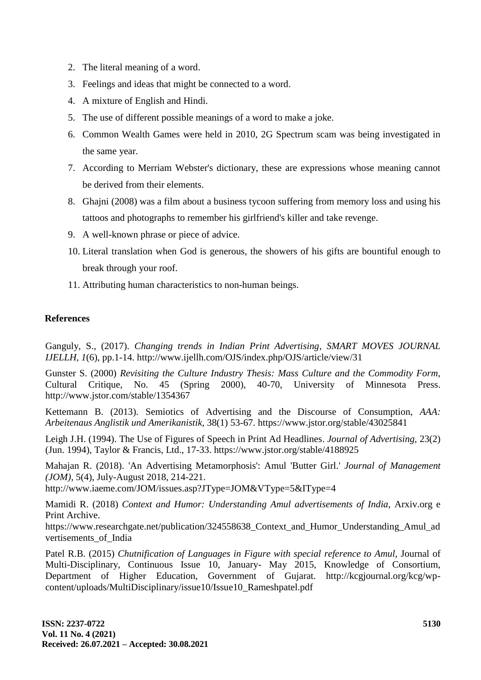- 2. The literal meaning of a word.
- 3. Feelings and ideas that might be connected to a word.
- 4. A mixture of English and Hindi.
- 5. The use of different possible meanings of a word to make a joke.
- 6. Common Wealth Games were held in 2010, 2G Spectrum scam was being investigated in the same year.
- 7. According to Merriam Webster's dictionary, these are expressions whose meaning cannot be derived from their elements.
- 8. Ghajni (2008) was a film about a business tycoon suffering from memory loss and using his tattoos and photographs to remember his girlfriend's killer and take revenge.
- 9. A well-known phrase or piece of advice.
- 10. Literal translation when God is generous, the showers of his gifts are bountiful enough to break through your roof.
- 11. Attributing human characteristics to non-human beings.

## **References**

Ganguly, S., (2017). *Changing trends in Indian Print Advertising*, *SMART MOVES JOURNAL IJELLH, 1*(6), pp.1-14. http://www.ijellh.com/OJS/index.php/OJS/article/view/31

Gunster S. (2000) *Revisiting the Culture Industry Thesis: Mass Culture and the Commodity Form,* Cultural Critique, No. 45 (Spring 2000), 40-70, University of Minnesota Press. http://www.jstor.com/stable/1354367

Kettemann B. (2013). Semiotics of Advertising and the Discourse of Consumption, *AAA: Arbeitenaus Anglistik und Amerikanistik,* 38(1) 53-67. https://www.jstor.org/stable/43025841

Leigh J.H. (1994). The Use of Figures of Speech in Print Ad Headlines. *Journal of Advertising,* 23(2) (Jun. 1994), Taylor & Francis, Ltd., 17-33. https://www.jstor.org/stable/4188925

Mahajan R. (2018). 'An Advertising Metamorphosis': Amul 'Butter Girl.' *Journal of Management (JOM),* 5(4), July-August 2018, 214-221.

http://www.iaeme.com/JOM/issues.asp?JType=JOM&VType=5&IType=4

Mamidi R. (2018) *Context and Humor: Understanding Amul advertisements of India,* Arxiv.org e Print Archive.

https://www.researchgate.net/publication/324558638 Context and Humor Understanding Amul ad vertisements\_of\_India

Patel R.B. (2015) *Chutnification of Languages in Figure with special reference to Amul,* Journal of Multi-Disciplinary, Continuous Issue 10, January- May 2015, Knowledge of Consortium, Department of Higher Education, Government of Gujarat. http://kcgjournal.org/kcg/wpcontent/uploads/MultiDisciplinary/issue10/Issue10\_Rameshpatel.pdf